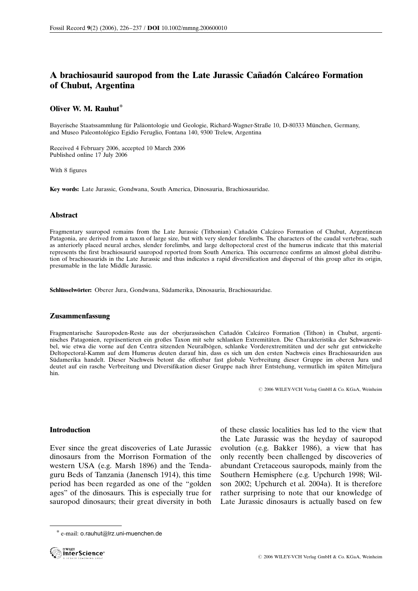# A brachiosaurid sauropod from the Late Jurassic Cañadón Calcáreo Formation of Chubut, Argentina

## Oliver W. M. Rauhut\*

Bayerische Staatssammlung für Paläontologie und Geologie, Richard-Wagner-Straße 10, D-80333 München, Germany, and Museo Paleontológico Egidio Feruglio, Fontana 140, 9300 Trelew, Argentina

Received 4 February 2006, accepted 10 March 2006 Published online 17 July 2006

With 8 figures

Key words: Late Jurassic, Gondwana, South America, Dinosauria, Brachiosauridae.

## **Abstract**

Fragmentary sauropod remains from the Late Jurassic (Tithonian) Cañadón Calcáreo Formation of Chubut, Argentinean Patagonia, are derived from a taxon of large size, but with very slender forelimbs. The characters of the caudal vertebrae, such as anteriorly placed neural arches, slender forelimbs, and large deltopectoral crest of the humerus indicate that this material represents the first brachiosaurid sauropod reported from South America. This occurrence confirms an almost global distribution of brachiosaurids in the Late Jurassic and thus indicates a rapid diversification and dispersal of this group after its origin, presumable in the late Middle Jurassic.

Schlüsselwörter: Oberer Jura, Gondwana, Südamerika, Dinosauria, Brachiosauridae.

#### Zusammenfassung

Fragmentarische Sauropoden-Reste aus der oberjurassischen Cañadón Calcáreo Formation (Tithon) in Chubut, argentinisches Patagonien, repräsentieren ein großes Taxon mit sehr schlanken Extremitäten. Die Charakteristika der Schwanzwirbel, wie etwa die vorne auf den Centra sitzenden Neuralbögen, schlanke Vorderextremitäten und der sehr gut entwickelte Deltopectoral-Kamm auf dem Humerus deuten darauf hin, dass es sich um den ersten Nachweis eines Brachiosauriden aus Südamerika handelt. Dieser Nachweis betont die offenbar fast globale Verbreitung dieser Gruppe im oberen Jura und deutet auf ein rasche Verbreitung und Diversifikation dieser Gruppe nach ihrer Entstehung, vermutlich im späten Mitteljura hin.

 $© 2006 WILEY-VCH Verlag GmbH & Co. KGaA, Weinheim$ 

## Introduction

Ever since the great discoveries of Late Jurassic dinosaurs from the Morrison Formation of the western USA (e.g. Marsh 1896) and the Tendaguru Beds of Tanzania (Janensch 1914), this time period has been regarded as one of the "golden ages" of the dinosaurs. This is especially true for sauropod dinosaurs; their great diversity in both of these classic localities has led to the view that the Late Jurassic was the heyday of sauropod evolution (e.g. Bakker 1986), a view that has only recently been challenged by discoveries of abundant Cretaceous sauropods, mainly from the Southern Hemisphere (e.g. Upchurch 1998; Wilson 2002; Upchurch et al. 2004a). It is therefore rather surprising to note that our knowledge of Late Jurassic dinosaurs is actually based on few

<sup>\*</sup> e-mail: o.rauhut@lrz.uni-muenchen.de

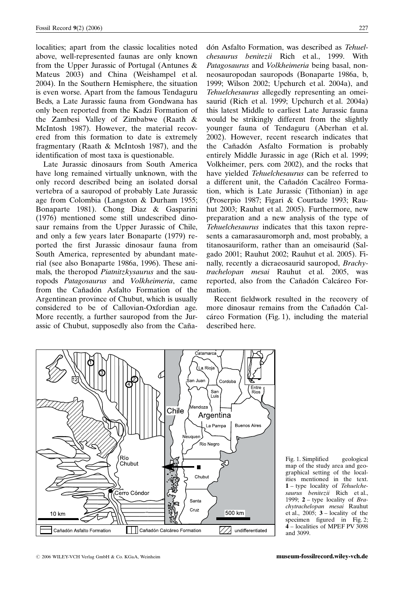localities; apart from the classic localities noted above, well-represented faunas are only known from the Upper Jurassic of Portugal (Antunes & Mateus 2003) and China (Weishampel et al. 2004). In the Southern Hemisphere, the situation is even worse. Apart from the famous Tendaguru Beds, a Late Jurassic fauna from Gondwana has only been reported from the Kadzi Formation of the Zambesi Valley of Zimbabwe (Raath & McIntosh 1987). However, the material recovered from this formation to date is extremely fragmentary (Raath & McIntosh 1987), and the identification of most taxa is questionable.

Late Jurassic dinosaurs from South America have long remained virtually unknown, with the only record described being an isolated dorsal vertebra of a sauropod of probably Late Jurassic age from Colombia (Langston & Durham 1955; Bonaparte 1981). Chong Diaz & Gasparini (1976) mentioned some still undescribed dinosaur remains from the Upper Jurassic of Chile, and only a few years later Bonaparte (1979) reported the first Jurassic dinosaur fauna from South America, represented by abundant material (see also Bonaparte 1986a, 1996). These animals, the theropod Piatnitzkysaurus and the sauropods Patagosaurus and Volkheimeria, came from the Cañadón Asfalto Formation of the Argentinean province of Chubut, which is usually considered to be of Callovian-Oxfordian age. More recently, a further sauropod from the Jurassic of Chubut, supposedly also from the Cañadón Asfalto Formation, was described as *Tehuel*chesaurus benitezii Rich et al., 1999. With Patagosaurus and Volkheimeria being basal, nonneosauropodan sauropods (Bonaparte 1986a, b, 1999; Wilson 2002; Upchurch et al. 2004a), and Tehuelchesaurus allegedly representing an omeisaurid (Rich et al. 1999; Upchurch et al. 2004a) this latest Middle to earliest Late Jurassic fauna would be strikingly different from the slightly younger fauna of Tendaguru (Aberhan et al. 2002). However, recent research indicates that the Cañadón Asfalto Formation is probably entirely Middle Jurassic in age (Rich et al. 1999; Volkheimer, pers. com 2002), and the rocks that have yielded Tehuelchesaurus can be referred to a different unit, the Cañadón Cacálreo Formation, which is Late Jurassic (Tithonian) in age (Proserpio 1987; Figari & Courtade 1993; Rauhut 2003; Rauhut et al. 2005). Furthermore, new preparation and a new analysis of the type of Tehuelchesaurus indicates that this taxon represents a camarasauromorph and, most probably, a titanosauriform, rather than an omeisaurid (Salgado 2001; Rauhut 2002; Rauhut et al. 2005). Finally, recently a dicraeosaurid sauropod, Brachytrachelopan mesai Rauhut et al. 2005, was reported, also from the Cañadón Calcáreo Formation.

Recent fieldwork resulted in the recovery of more dinosaur remains from the Cañadón Cal $c$ áreo Formation (Fig. 1), including the material described here.



Fig. 1. Simplified geological map of the study area and geographical setting of the localities mentioned in the text. 1 – type locality of Tehuelchesaurus benitezii Rich et al., 1999;  $2 -$  type locality of *Bra*chytrachelopan mesai Rauhut et al.,  $2005$ ;  $3$  – locality of the specimen figured in Fig. 2; 4 – localities of MPEF PV 3098 and 3099.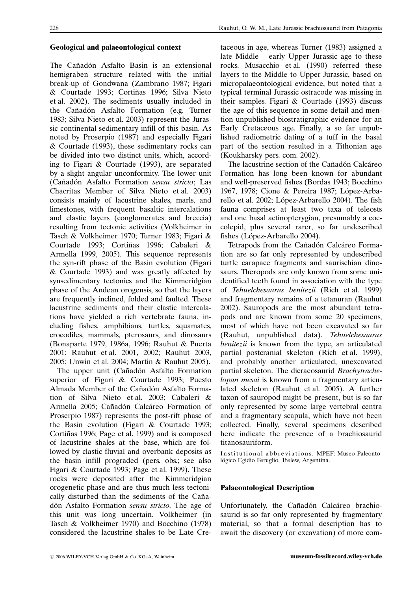## Geological and palaeontological context

The Cañadón Asfalto Basin is an extensional hemigraben structure related with the initial break-up of Gondwana (Zambrano 1987; Figari & Courtade 1993: Cortiñas 1996: Silva Nieto et al. 2002). The sediments usually included in the Cañadón Asfalto Formation (e.g. Turner 1983; Silva Nieto et al. 2003) represent the Jurassic continental sedimentary infill of this basin. As noted by Proserpio (1987) and especially Figari & Courtade (1993), these sedimentary rocks can be divided into two distinct units, which, according to Figari & Courtade (1993), are separated by a slight angular unconformity. The lower unit (Cañadón Asfalto Formation sensu stricto; Las Chacritas Member of Silva Nieto et al. 2003) consists mainly of lacustrine shales, marls, and limestones, with frequent basaltic intercalations and clastic layers (conglomerates and breccia) resulting from tectonic activities (Volkheimer in Tasch & Volkheimer 1970; Turner 1983; Figari & Courtade 1993; Cortiñas 1996; Cabaleri & Armella 1999, 2005). This sequence represents the syn-rift phase of the Basin evolution (Figari & Courtade 1993) and was greatly affected by synsedimentary tectonics and the Kimmeridgian phase of the Andean orogensis, so that the layers are frequently inclined, folded and faulted. These lacustrine sediments and their clastic intercalations have yielded a rich vertebrate fauna, including fishes, amphibians, turtles, squamates, crocodiles, mammals, pterosaurs, and dinosaurs (Bonaparte 1979, 1986a, 1996; Rauhut & Puerta 2001; Rauhut et al. 2001, 2002; Rauhut 2003, 2005; Unwin et al. 2004; Martin & Rauhut 2005).

The upper unit (Cañadón Asfalto Formation superior of Figari & Courtade 1993; Puesto Almada Member of the Cañadón Asfalto Formation of Silva Nieto et al. 2003; Cabaleri & Armella 2005; Cañadón Calcáreo Formation of Proserpio 1987) represents the post-rift phase of the Basin evolution (Figari & Courtade 1993; Cortiñas 1996; Page et al. 1999) and is composed of lacustrine shales at the base, which are followed by clastic fluvial and overbank deposits as the basin infill prograded (pers. obs.; see also Figari & Courtade 1993; Page et al. 1999). These rocks were deposited after the Kimmeridgian orogenetic phase and are thus much less tectonically disturbed than the sediments of the Cañadón Asfalto Formation sensu stricto. The age of this unit was long uncertain. Volkheimer (in Tasch & Volkheimer 1970) and Bocchino (1978) considered the lacustrine shales to be Late Cretaceous in age, whereas Turner (1983) assigned a late Middle – early Upper Jurassic age to these rocks. Musacchio et al. (1990) referred these layers to the Middle to Upper Jurassic, based on micropalaeontological evidence, but noted that a typical terminal Jurassic ostracode was missing in their samples. Figari & Courtade (1993) discuss the age of this sequence in some detail and mention unpublished biostratigraphic evidence for an Early Cretaceous age. Finally, a so far unpublished radiometric dating of a tuff in the basal part of the section resulted in a Tithonian age (Koukharsky pers. com. 2002).

The lacustrine section of the Cañadón Calcáreo Formation has long been known for abundant and well-preserved fishes (Bordas 1943; Bocchino 1967, 1978; Cione & Pereira 1987; López-Arbarello et al. 2002; López-Arbarello 2004). The fish fauna comprises at least two taxa of teleosts and one basal actinopterygian, presumably a coccolepid, plus several rarer, so far undescribed fishes (López-Arbarello 2004).

Tetrapods from the Cañadón Calcáreo Formation are so far only represented by undescribed turtle carapace fragments and saurischian dinosaurs. Theropods are only known from some unidentified teeth found in association with the type of Tehuelchesaurus benitezii (Rich et al. 1999) and fragmentary remains of a tetanuran (Rauhut 2002). Sauropods are the most abundant tetrapods and are known from some 20 specimens, most of which have not been excavated so far (Rauhut, unpublished data). Tehuelchesaurus benitezii is known from the type, an articulated partial postcranial skeleton (Rich et al. 1999), and probably another articulated, unexcavated partial skeleton. The dicraeosaurid Brachytrachelopan mesai is known from a fragmentary articulated skeleton (Rauhut et al. 2005). A further taxon of sauropod might be present, but is so far only represented by some large vertebral centra and a fragmentary scapula, which have not been collected. Finally, several specimens described here indicate the presence of a brachiosaurid titanosauriform.

Institutional abbreviations. MPEF: Museo Paleontológico Egidio Feruglio, Trelew, Argentina.

### Palaeontological Description

Unfortunately, the Cañadón Calcáreo brachiosaurid is so far only represented by fragmentary material, so that a formal description has to await the discovery (or excavation) of more com-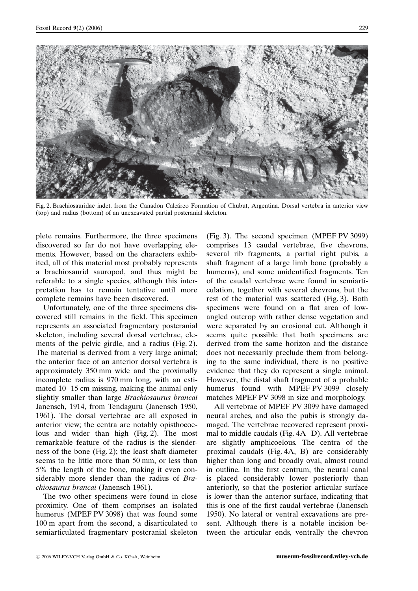

Fig. 2. Brachiosauridae indet. from the Cañadón Calcáreo Formation of Chubut, Argentina. Dorsal vertebra in anterior view (top) and radius (bottom) of an unexcavated partial postcranial skeleton.

plete remains. Furthermore, the three specimens discovered so far do not have overlapping elements. However, based on the characters exhibited, all of this material most probably represents a brachiosaurid sauropod, and thus might be referable to a single species, although this interpretation has to remain tentative until more complete remains have been discovered.

Unfortunately, one of the three specimens discovered still remains in the field. This specimen represents an associated fragmentary postcranial skeleton, including several dorsal vertebrae, elements of the pelvic girdle, and a radius (Fig. 2). The material is derived from a very large animal; the anterior face of an anterior dorsal vertebra is approximately 350 mm wide and the proximally incomplete radius is 970 mm long, with an estimated 10–15 cm missing, making the animal only slightly smaller than large Brachiosaurus brancai Janensch, 1914, from Tendaguru (Janensch 1950, 1961). The dorsal vertebrae are all exposed in anterior view; the centra are notably opisthocoelous and wider than high (Fig. 2). The most remarkable feature of the radius is the slenderness of the bone (Fig. 2); the least shaft diameter seems to be little more than 50 mm, or less than 5% the length of the bone, making it even considerably more slender than the radius of Brachiosaurus brancai (Janensch 1961).

The two other specimens were found in close proximity. One of them comprises an isolated humerus (MPEF PV 3098) that was found some 100 m apart from the second, a disarticulated to semiarticulated fragmentary postcranial skeleton (Fig. 3). The second specimen (MPEF PV 3099) comprises 13 caudal vertebrae, five chevrons, several rib fragments, a partial right pubis, a shaft fragment of a large limb bone (probably a humerus), and some unidentified fragments. Ten of the caudal vertebrae were found in semiarticulation, together with several chevrons, but the rest of the material was scattered (Fig. 3). Both specimens were found on a flat area of lowangled outcrop with rather dense vegetation and were separated by an erosional cut. Although it seems quite possible that both specimens are derived from the same horizon and the distance does not necessarily preclude them from belonging to the same individual, there is no positive evidence that they do represent a single animal. However, the distal shaft fragment of a probable humerus found with MPEF PV 3099 closely matches MPEF PV 3098 in size and morphology.

All vertebrae of MPEF PV 3099 have damaged neural arches, and also the pubis is strongly damaged. The vertebrae recovered represent proximal to middle caudals (Fig. 4A–D). All vertebrae are slightly amphicoelous. The centra of the proximal caudals (Fig. 4A, B) are considerably higher than long and broadly oval, almost round in outline. In the first centrum, the neural canal is placed considerably lower posteriorly than anteriorly, so that the posterior articular surface is lower than the anterior surface, indicating that this is one of the first caudal vertebrae (Janensch 1950). No lateral or ventral excavations are present. Although there is a notable incision between the articular ends, ventrally the chevron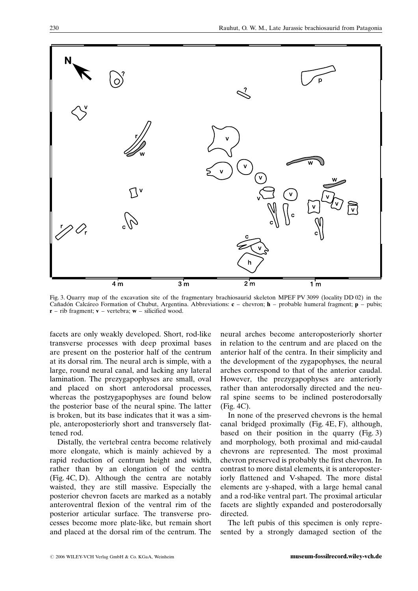

Fig. 3. Quarry map of the excavation site of the fragmentary brachiosaurid skeleton MPEF PV 3099 (locality DD 02) in the Cañadón Calcáreo Formation of Chubut, Argentina. Abbreviations:  $\mathbf{c}$  – chevron;  $\mathbf{h}$  – probable humeral fragment;  $\mathbf{p}$  – pubis;  $\mathbf{r}$  – rib fragment;  $\mathbf{v}$  – vertebra;  $\mathbf{w}$  – silicified wood.

facets are only weakly developed. Short, rod-like transverse processes with deep proximal bases are present on the posterior half of the centrum at its dorsal rim. The neural arch is simple, with a large, round neural canal, and lacking any lateral lamination. The prezygapophyses are small, oval and placed on short anterodorsal processes, whereas the postzygapophyses are found below the posterior base of the neural spine. The latter is broken, but its base indicates that it was a simple, anteroposteriorly short and transversely flattened rod.

Distally, the vertebral centra become relatively more elongate, which is mainly achieved by a rapid reduction of centrum height and width, rather than by an elongation of the centra (Fig. 4C, D). Although the centra are notably waisted, they are still massive. Especially the posterior chevron facets are marked as a notably anteroventral flexion of the ventral rim of the posterior articular surface. The transverse processes become more plate-like, but remain short and placed at the dorsal rim of the centrum. The

neural arches become anteroposteriorly shorter in relation to the centrum and are placed on the anterior half of the centra. In their simplicity and the development of the zygapophyses, the neural arches correspond to that of the anterior caudal. However, the prezygapophyses are anteriorly rather than anterodorsally directed and the neural spine seems to be inclined posterodorsally (Fig. 4C).

In none of the preserved chevrons is the hemal canal bridged proximally (Fig. 4E, F), although, based on their position in the quarry (Fig. 3) and morphology, both proximal and mid-caudal chevrons are represented. The most proximal chevron preserved is probably the first chevron. In contrast to more distal elements, it is anteroposteriorly flattened and V-shaped. The more distal elements are y-shaped, with a large hemal canal and a rod-like ventral part. The proximal articular facets are slightly expanded and posterodorsally directed.

The left pubis of this specimen is only represented by a strongly damaged section of the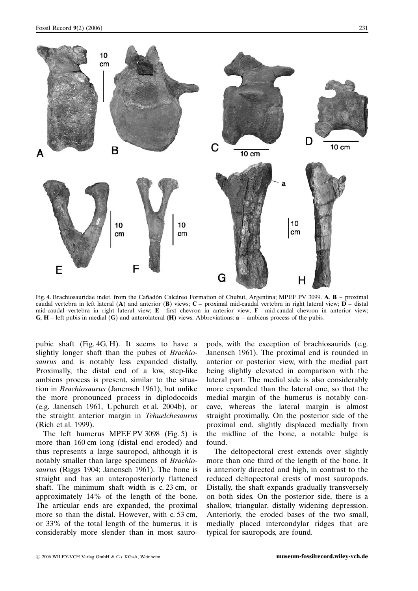

Fig. 4. Brachiosauridae indet. from the Cañadón Calcáreo Formation of Chubut, Argentina; MPEF PV 3099. A,  $\bf{B}$  – proximal caudal vertebra in left lateral  $(A)$  and anterior  $(B)$  views;  $C$  – proximal mid-caudal vertebra in right lateral view;  $D$  – distal mid-caudal vertebra in right lateral view;  $\mathbf{E}$  – first chevron in anterior view;  $\mathbf{F}$  – mid-caudal chevron in anterior view; **G, H** – left pubis in medial  $(G)$  and anterolateral  $(H)$  views. Abbreviations: **a** – ambiens process of the pubis.

pubic shaft (Fig. 4G, H). It seems to have a slightly longer shaft than the pubes of Brachiosaurus and is notably less expanded distally. Proximally, the distal end of a low, step-like ambiens process is present, similar to the situation in Brachiosaurus (Janensch 1961), but unlike the more pronounced process in diplodocoids (e.g. Janensch 1961, Upchurch et al. 2004b), or the straight anterior margin in Tehuelchesaurus (Rich et al. 1999).

The left humerus MPEF PV 3098 (Fig. 5) is more than 160 cm long (distal end eroded) and thus represents a large sauropod, although it is notably smaller than large specimens of Brachiosaurus (Riggs 1904; Janensch 1961). The bone is straight and has an anteroposteriorly flattened shaft. The minimum shaft width is c. 23 cm, or approximately 14% of the length of the bone. The articular ends are expanded, the proximal more so than the distal. However, with c. 53 cm, or 33% of the total length of the humerus, it is considerably more slender than in most sauropods, with the exception of brachiosaurids (e.g. Janensch 1961). The proximal end is rounded in anterior or posterior view, with the medial part being slightly elevated in comparison with the lateral part. The medial side is also considerably more expanded than the lateral one, so that the medial margin of the humerus is notably concave, whereas the lateral margin is almost straight proximally. On the posterior side of the proximal end, slightly displaced medially from the midline of the bone, a notable bulge is found.

The deltopectoral crest extends over slightly more than one third of the length of the bone. It is anteriorly directed and high, in contrast to the reduced deltopectoral crests of most sauropods. Distally, the shaft expands gradually transversely on both sides. On the posterior side, there is a shallow, triangular, distally widening depression. Anteriorly, the eroded bases of the two small, medially placed intercondylar ridges that are typical for sauropods, are found.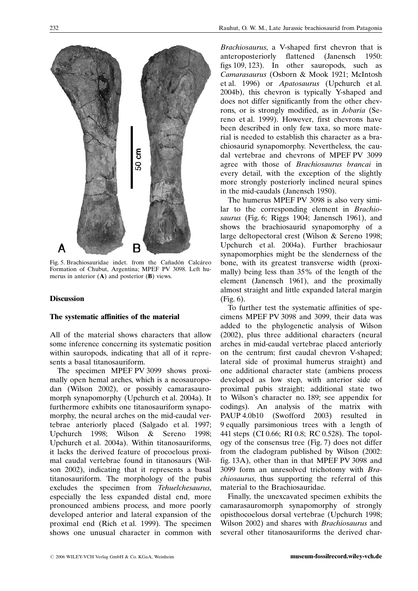

Fig. 5. Brachiosauridae indet. from the Cañadón Calcáreo Formation of Chubut, Argentina; MPEF PV 3098. Left humerus in anterior  $(A)$  and posterior  $(B)$  views.

## **Discussion**

## The systematic affinities of the material

All of the material shows characters that allow some inference concerning its systematic position within sauropods, indicating that all of it represents a basal titanosauriform.

The specimen MPEF PV 3099 shows proximally open hemal arches, which is a neosauropodan (Wilson 2002), or possibly camarasauromorph synapomorphy (Upchurch et al. 2004a). It furthermore exhibits one titanosauriform synapomorphy, the neural arches on the mid-caudal vertebrae anteriorly placed (Salgado et al. 1997; Upchurch 1998; Wilson & Sereno 1998; Upchurch et al. 2004a). Within titanosauriforms, it lacks the derived feature of procoelous proximal caudal vertebrae found in titanosaurs (Wilson 2002), indicating that it represents a basal titanosauriform. The morphology of the pubis excludes the specimen from Tehuelchesaurus, especially the less expanded distal end, more pronounced ambiens process, and more poorly developed anterior and lateral expansion of the proximal end (Rich et al. 1999). The specimen shows one unusual character in common with

Brachiosaurus, a V-shaped first chevron that is anteroposteriorly flattened (Janensch 1950: figs 109, 123). In other sauropods, such as Camarasaurus (Osborn & Mook 1921; McIntosh et al. 1996) or Apatosaurus (Upchurch et al. 2004b), this chevron is typically Y-shaped and does not differ significantly from the other chevrons, or is strongly modified, as in Jobaria (Sereno et al. 1999). However, first chevrons have been described in only few taxa, so more material is needed to establish this character as a brachiosaurid synapomorphy. Nevertheless, the caudal vertebrae and chevrons of MPEF PV 3099 agree with those of Brachiosaurus brancai in every detail, with the exception of the slightly more strongly posteriorly inclined neural spines in the mid-caudals (Janensch 1950).

The humerus MPEF PV 3098 is also very similar to the corresponding element in Brachiosaurus (Fig. 6; Riggs 1904; Janensch 1961), and shows the brachiosaurid synapomorphy of a large deltopectoral crest (Wilson & Sereno 1998; Upchurch et al. 2004a). Further brachiosaur synapomorphies might be the slenderness of the bone, with its greatest transverse width (proximally) being less than 35% of the length of the element (Janensch 1961), and the proximally almost straight and little expanded lateral margin (Fig. 6).

To further test the systematic affinities of specimens MPEF PV 3098 and 3099, their data was added to the phylogenetic analysis of Wilson (2002), plus three additional characters (neural arches in mid-caudal vertebrae placed anteriorly on the centrum; first caudal chevron V-shaped; lateral side of proximal humerus straight) and one additional character state (ambiens process developed as low step, with anterior side of proximal pubis straight; additional state two to Wilson's character no. 189; see appendix for codings). An analysis of the matrix with PAUP 4.0b10 (Swofford 2003) resulted in 9 equally parsimonious trees with a length of 441 steps (CI 0.66; RI 0.8; RC 0.528). The topology of the consensus tree (Fig. 7) does not differ from the cladogram published by Wilson (2002: fig. 13A), other than in that MPEF PV 3098 and 3099 form an unresolved trichotomy with Brachiosaurus, thus supporting the referral of this material to the Brachiosauridae.

Finally, the unexcavated specimen exhibits the camarasauromorph synapomorphy of strongly opisthocoelous dorsal vertebrae (Upchurch 1998; Wilson 2002) and shares with Brachiosaurus and several other titanosauriforms the derived char-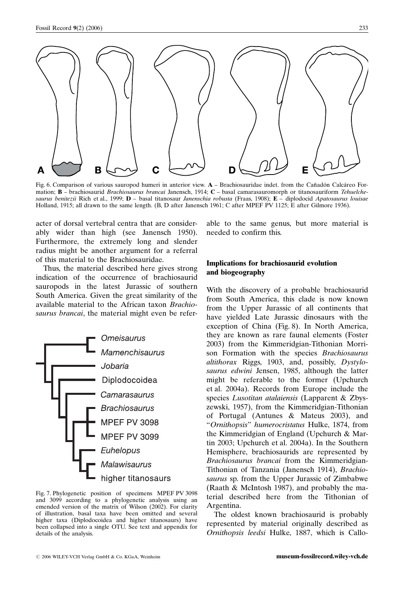

Fig. 6. Comparison of various sauropod humeri in anterior view.  $A$  – Brachiosauridae indet. from the Cañadón Calcáreo Formation;  $B$  – brachiosaurid *Brachiosaurus brancai* Janensch, 1914;  $C$  – basal camarasauromorph or titanosauriform *Tehuelche*saurus benitezii Rich et al., 1999;  $D -$  basal titanosaur Janenschia robusta (Fraas, 1908);  $E -$  diplodocid Apatosaurus louisae Holland, 1915; all drawn to the same length. (B, D after Janensch 1961; C after MPEF PV 1125; E after Gilmore 1936).

acter of dorsal vertebral centra that are considerably wider than high (see Janensch 1950). Furthermore, the extremely long and slender radius might be another argument for a referral of this material to the Brachiosauridae.

Thus, the material described here gives strong indication of the occurrence of brachiosaurid sauropods in the latest Jurassic of southern South America. Given the great similarity of the available material to the African taxon Brachiosaurus brancai, the material might even be refer-



Fig. 7. Phylogenetic position of specimens MPEF PV 3098 and 3099 according to a phylogenetic analysis using an emended version of the matrix of Wilson (2002). For clarity of illustration, basal taxa have been omitted and several higher taxa (Diplodocoidea and higher titanosaurs) have been collapsed into a single OTU. See text and appendix for details of the analysis.

able to the same genus, but more material is needed to confirm this.

## Implications for brachiosaurid evolution and biogeography

With the discovery of a probable brachiosaurid from South America, this clade is now known from the Upper Jurassic of all continents that have yielded Late Jurassic dinosaurs with the exception of China (Fig. 8). In North America, they are known as rare faunal elements (Foster 2003) from the Kimmeridgian-Tithonian Morrison Formation with the species Brachiosaurus altithorax Riggs, 1903, and, possibly, Dystylosaurus edwini Jensen, 1985, although the latter might be referable to the former (Upchurch et al. 2004a). Records from Europe include the species Lusotitan atalaiensis (Lapparent & Zbyszewski, 1957), from the Kimmeridgian-Tithonian of Portugal (Antunes & Mateus 2003), and "Ornithopsis" humerocristatus Hulke, 1874, from the Kimmeridgian of England (Upchurch & Martin 2003; Upchurch et al. 2004a). In the Southern Hemisphere, brachiosaurids are represented by Brachiosaurus brancai from the Kimmeridgian-Tithonian of Tanzania (Janensch 1914), Brachiosaurus sp. from the Upper Jurassic of Zimbabwe (Raath & McIntosh 1987), and probably the material described here from the Tithonian of Argentina.

The oldest known brachiosaurid is probably represented by material originally described as Ornithopsis leedsi Hulke, 1887, which is Callo-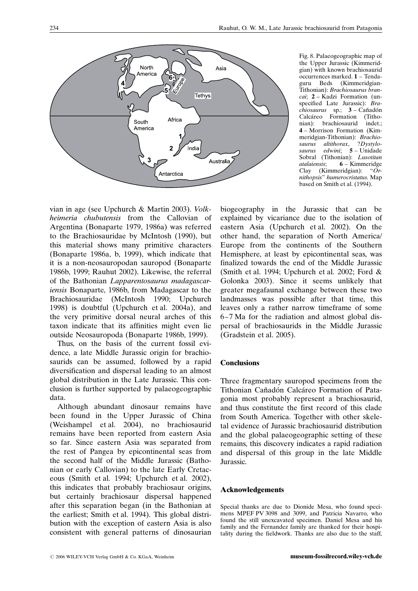

Fig. 8. Palaeogeographic map of the Upper Jurassic (Kimmeridgian) with known brachiosaurid occurrences marked. 1 – Tenda-<br>guru Beds (Kimmeridgian-(Kimmeridgian-Tithonian): Brachiosaurus bran $ca\ddot{i}$ ;  $2 -$  Kadzi Formation (unspecified Late Jurassic): Bra- $\tilde{chiosaurus}$  sp.;  $3 - \tilde{C}a\tilde{n}ad\tilde{n}$ Calcáreo Formation (Tithonian): brachiosaurid indet.; 4 – Morrison Formation (Kimmeridgian-Tithonian): Brachio-<br>saurus altithorax. ?Dvstvloaltithorax, ?Dystylosaurus edwini;  $5 -$ Unidade Sobral (Tithonian): Lusotitan atalaiensis; 6 – Kimmeridge Clay (Kimmeridgian): "Ornithopsis" humerocristatus. Map based on Smith et al. (1994).

vian in age (see Upchurch & Martin 2003). Volkheimeria chubutensis from the Callovian of Argentina (Bonaparte 1979, 1986a) was referred to the Brachiosauridae by McIntosh (1990), but this material shows many primitive characters (Bonaparte 1986a, b, 1999), which indicate that it is a non-neosauropodan sauropod (Bonaparte 1986b, 1999; Rauhut 2002). Likewise, the referral of the Bathonian Lapparentosaurus madagascariensis Bonaparte, 1986b, from Madagascar to the Brachiosauridae (McIntosh 1990; Upchurch 1998) is doubtful (Upchurch et al. 2004a), and the very primitive dorsal neural arches of this taxon indicate that its affinities might even lie outside Neosauropoda (Bonaparte 1986b, 1999).

Thus, on the basis of the current fossil evidence, a late Middle Jurassic origin for brachiosaurids can be assumed, followed by a rapid diversification and dispersal leading to an almost global distribution in the Late Jurassic. This conclusion is further supported by palaeogeographic data.

Although abundant dinosaur remains have been found in the Upper Jurassic of China (Weishampel et al. 2004), no brachiosaurid remains have been reported from eastern Asia so far. Since eastern Asia was separated from the rest of Pangea by epicontinental seas from the second half of the Middle Jurassic (Bathonian or early Callovian) to the late Early Cretaceous (Smith et al. 1994; Upchurch et al. 2002), this indicates that probably brachiosaur origins, but certainly brachiosaur dispersal happened after this separation began (in the Bathonian at the earliest; Smith et al. 1994). This global distribution with the exception of eastern Asia is also consistent with general patterns of dinosaurian

biogeography in the Jurassic that can be explained by vicariance due to the isolation of eastern Asia (Upchurch et al. 2002). On the other hand, the separation of North America/ Europe from the continents of the Southern Hemisphere, at least by epicontinental seas, was finalized towards the end of the Middle Jurassic (Smith et al. 1994; Upchurch et al. 2002; Ford & Golonka 2003). Since it seems unlikely that greater megafaunal exchange between these two landmasses was possible after that time, this leaves only a rather narrow timeframe of some 6–7 Ma for the radiation and almost global dispersal of brachiosaurids in the Middle Jurassic (Gradstein et al. 2005).

## **Conclusions**

Three fragmentary sauropod specimens from the Tithonian Cañadón Calcáreo Formation of Patagonia most probably represent a brachiosaurid, and thus constitute the first record of this clade from South America. Together with other skeletal evidence of Jurassic brachiosaurid distribution and the global palaeogeographic setting of these remains, this discovery indicates a rapid radiation and dispersal of this group in the late Middle Jurassic.

#### Acknowledgements

Special thanks are due to Dionide Mesa, who found specimens MPEF PV 3098 and 3099, and Patricia Navarro, who found the still unexcavated specimen. Daniel Mesa and his family and the Fernandez family are thanked for their hospitality during the fieldwork. Thanks are also due to the staff,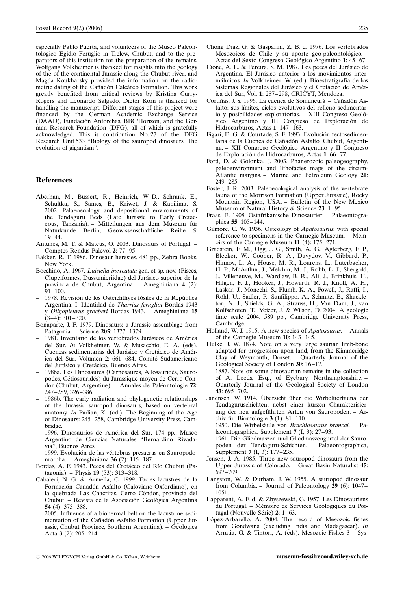especially Pablo Puerta, and volunteers of the Museo Paleontológico Egidio Feruglio in Trelew, Chubut, and to the preparators of this institution for the preparation of the remains. Wolfgang Volkheimer is thanked for insights into the geology of the of the continental Jurassic along the Chubut river, and Magda Koukharsky provided the information on the radiometric dating of the Cañadón Calcáreo Formation. This work greatly benefited from critical reviews by Kristina Curry-Rogers and Leonardo Salgado. Dieter Korn is thanked for handling the manuscript. Different stages of this project were financed by the German Academic Exchange Service (DAAD), Fundación Antorchas, BBC/Horizon, and the German Research Foundation (DFG), all of which is gratefully acknowledged. This is contribution No. 27 of the DFG Research Unit 533 "Biology of the sauropod dinosaurs. The evolution of gigantism".

#### References

- Aberhan, M., Bussert, R., Heinrich, W.-D., Schrank, E., Schultka, S., Sames, B., Kriwet, J. & Kapilima, S. 2002. Palaeoecology and depositional environments of the Tendaguru Beds (Late Jurassic to Early Cretaceous, Tanzania). – Mitteilungen aus dem Museum für Naturkunde Berlin, Geowissenschaftliche Reihe 5: 19–44.
- Antunes, M. T. & Mateus, O. 2003. Dinosaurs of Portugal. Comptes Rendus Palevol 2: 77–95.
- Bakker, R. T. 1986. Dinosaur heresies. 481 pp., Zebra Books, New York.
- Bocchino, A. 1967. Luisiella inexcutata gen. et sp. nov. (Pisces, Clupeiformes, Dussumieriidae) del Jurásico superior de la provincia de Chubut, Argentina. – Ameghiniana 4 (2): 91–100.
- 1978. Revisión de los Osteichthyes fósiles de la República Argentina. I. Identidad de Tharrias feruglioi Bordas 1943 y Oligopleurus groeberi Bordas 1943. – Ameghiniana 15 (3–4): 301–320.
- Bonaparte, J. F. 1979. Dinosaurs: a Jurassic assemblage from Patagonia. – Science 205: 1377–1379.
- 1981. Inventario de los vertebrados Jurásicos de América del Sur. In Volkheimer, W. & Musacchio, E. A. (eds). Cuencas sedimentarias del Jurásico y Cretácico de América del Sur, Volumen 2: 661–684, Comite´ Sudamericano del Jurásico y Cretácico, Buenos Aires.
- 1986a. Les Dinosaures (Carnosaures, Allosauridés, Sauropodes, Cétiosauridés) du Jurassique moyen de Cerro Cóndor (Chubut, Argentine). – Annales de Paléontologie 72: 247–289, 326–386.
- 1986b. The early radiation and phylogenetic relationships of the Jurassic sauropod dinosaurs, based on vertebral anatomy. In Padian,  $\bar{K}$ . (ed.). The Beginning of the Age of Dinosaurs: 245–258, Cambridge University Press, Cambridge.
- 1996. Dinosaurios de América del Sur. 174 pp., Museo Argentino de Ciencias Naturales "Bernardino Rivadavia", Buenos Aires.
- 1999. Evolución de las vértebras presacras en Sauropodomorpha. – Ameghiniana 36 (2): 115–187.
- Bordas, A. F. 1943. Peces del Cretáceo del Río Chubut (Patagonia). – Physis 19 (53): 313–318.
- Cabaleri, N. G. & Armella, C. 1999. Facies lacustres de la Formación Cañadón Asfalto (Caloviano-Oxfordiano), en la quebrada Las Chacritas, Cerro Cóndor, provincia del Chubut. – Revista de la Asociación Geológica Argentina 54 (4): 375–388.
- 2005. Influence of a biohermal belt on the lacustrine sedimentation of the Cañadón Asfalto Formation (Upper Jurassic, Chubut Province, Southern Argentina). – Geologica Acta 3 (2): 205–214.
- Chong Diaz, G. & Gasparini, Z. B. d. 1976. Los vertebrados Mesozoicos de Chile y su aporte geo-paleontológico. – Actas del Sexto Congreso Geológico Argentino 1: 45–67.
- Cione, A. L. & Pereira, S. M. 1987. Los peces del Jurásico de Argentina. El Jurásico anterior a los movimientos intermálmicos. In Volkheimer, W. (ed.). Bioestratigrafía de los Sistemas Regionales del Jurásico y el Cretácico de América del Sur, Vol. 1: 287–298, CRICYT, Mendoza.
- Cortiñas, J. S. 1996. La cuenca de Somuncurá Cañadón Asfalto: sus límites, ciclos evolutivos del relleno sedimentario y posibilidades exploratorias. - XIII Congreso Geológico Argentino y III Congreso de Exploración de Hidrocarburos, Actas 1: 147–163.
- Figari, E. G. & Courtade, S. F. 1993. Evolución tectosedimentaria de la Cuenca de Cañadón Asfalto, Chubut, Argentina. - XII Congreso Geológico Argentino y II Congreso de Exploración de Hidrocarburos, Actas 1: 66–77.
- Ford, D. & Golonka, J. 2003. Phanerozoic paleogeography, paleoenvironment and lithofacies maps of the circum-Atlantic margins. – Marine and Petroleum Geology 20: 249–285.
- Foster, J. R. 2003. Paleoecological analysis of the vertebrate fauna of the Morrison Formation (Upper Jurassic), Rocky Mountain Region, USA. – Bulletin of the New Mexico Museum of Natural History & Science 23: 1–95.
- Fraas, E. 1908. Ostafrikanische Dinosaurier. Palaeontographica 55: 105–144.
- Gilmore, C. W. 1936. Osteology of Apatosaurus, with special reference to specimens in the Carnegie Museum. – Memoirs of the Carnegie Museum 11 (4): 175–271.
- Gradstein, F. M., Ogg, J. G., Smith, A. G., Agterberg, F. P., Bleeker, W., Cooper, R. A., Davydov, V., Gibbard, P., Hinnov, L. A., House, M. R., Lourens, L., Luterbacher, H. P., McArthur, J., Melchin, M. J., Robb, L. J., Shergold, J., Villeneuve, M., Wardlaw, B. R., Ali, J., Brinkhuis, H., Hilgen, F. J., Hooker, J., Howarth, R. J., Knoll, A. H., Laskar, J., Monechi, S., Plumb, K. A., Powell, J., Raffi, I., Röhl, U., Sadler, P., Sanfilippo, A., Schmitz, B., Shackleton, N. J., Shields, G. A., Strauss, H., Van Dam, J., van Kolfschoten, T., Veizer, J. & Wilson, D. 2004. A geologic time scale 2004. 589 pp., Cambridge University Press, Cambridge.
- Holland, W. J. 1915. A new species of Apatosaurus. Annals of the Carnegie Museum 10: 143-145.
- Hulke, J. W. 1874. Note on a very large saurian limb-bone adapted for progression upon land, from the Kimmeridge Clay of Weymouth, Dorset. – Quarterly Journal of the Geological Society of London 30: 16–17.
- 1887. Note on some dinosaurian remains in the collection of A. Leeds, Esq., of Eyebury, Northamptonshire. – Quarterly Journal of the Geological Society of London 43: 695–702.
- Janensch, W. 1914. Übersicht über die Wirbeltierfauna der Tendaguruschichten, nebst einer kurzen Charakterisierung der neu aufgeführten Arten von Sauropoden. – Archiv für Biontologie  $3$  (1): 81–110.
- 1950. Die Wirbelsäule von Brachiosaurus brancai. Palaeontographica, Supplement 7 (I, 3): 27–93.
- 1961. Die Gliedmaszen und Gliedmaszengürtel der Sauropoden der Tendaguru-Schichten. – Palaeontographica, Supplement 7 (I, 3): 177–235.
- Jensen, J. A. 1985. Three new sauropod dinosaurs from the Upper Jurassic of Colorado. – Great Basin Naturalist 45: 697–709.
- Langston, W. & Durham, J. W. 1955. A sauropod dinosaur from Columbia. – Journal of Paleontology 29 (6): 1047– 1051.
- Lapparent, A. F. d. & Zbyszewski, G. 1957. Les Dinosauriens du Portugal. – Mémoire de Services Géologiques du Portugal (Nouvelle Série)  $2: 1-63$ .
- López-Arbarello, A. 2004. The record of Mesozoic fishes from Gondwana (excluding India and Madagascar). In Arratia, G. & Tintori, A. (eds). Mesozoic Fishes 3 – Sys-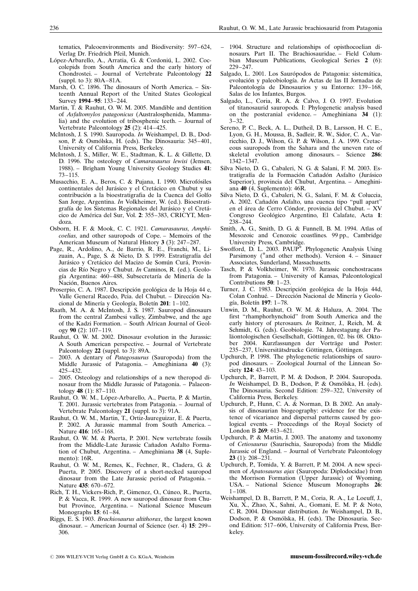tematics, Paleoenvironments and Biodiversity: 597–624, Verlag Dr. Friedrich Pfeil, Munich.

- López-Arbarello, A., Arratia, G. & Cordoniú, L. 2002. Coccolepids from South America and the early history of Chondrostei. – Journal of Vertebrate Paleontology 22 (suppl. to 3): 80A–81A.
- Marsh, O. C. 1896. The dinosaurs of North America. Sixteenth Annual Report of the United States Geological Survey 1994–95: 133–244.
- Martin, T. & Rauhut, O. W. M. 2005. Mandible and dentition of Asfaltomylos patagonicus (Australosphenida, Mammalia) and the evolution of tribosphenic teeth. – Journal of Vertebrate Paleontology 25 (2): 414–425.
- McIntosh, J. S. 1990. Sauropoda. In Weishampel, D. B., Dodson, P. & Osmólska, H. (eds). The Dinosauria: 345–401, University of California Press, Berkeley.
- McIntosh, J. S., Miller, W. E., Stadtman, K. L. & Gillette, D. D. 1996. The osteology of Camarasaurus lewisi (Jensen, 1988). – Brigham Young University Geology Studies 41: 73–115.
- Musacchio, E. A., Beros, C. & Pujana, I. 1990. Microfósiles continentales del Jurásico y el Cretácico en Chubut y su contribución a la bioestratigrafia de la Cuenca del Golfo San Jorge, Argentina. In Volkheimer, W. (ed.). Bioestratigrafía de los Sistemas Regionales del Jurásico y el Cretácico de América del Sur, Vol. 2: 355-383, CRICYT, Mendoza.
- Osborn, H. F. & Mook, C. C. 1921. Camarasaurus, Amphicoelias, and other sauropods of Cope. – Memoirs of the American Museum of Natural History 3 (3): 247–287.
- Page, R., Ardolino, A., de Barrio, R. E., Franchi, M., Lizuain, A., Page, S. & Nieto, D. S. 1999. Estratigrafía del Jurásico y Cretácico del Macizo de Somún Curá, Provincias de Río Negro y Chubut. In Caminos, R. (ed.). Geología Argentina: 460-488, Subsecretaría de Minería de la Nación. Buenos Aires.
- Proserpio, C. A. 1987. Descripción geológica de la Hoja 44 e, Valle General Racedo, Pcia. del Chubut. - Dirección Nacional de Minería y Geología, Boletín 201: 1-102.
- Raath, M. A. & McIntosh, J. S. 1987. Sauropod dinosaurs from the central Zambesi valley, Zimbabwe, and the age of the Kadzi Formation. – South African Journal of Geology 90 (2): 107–119.
- Rauhut, O. W. M. 2002. Dinosaur evolution in the Jurassic: A South American perspective. – Journal of Vertebrate Paleontology 22 (suppl. to 3): 89A.
- 2003. A dentary of Patagosaurus (Sauropoda) from the Middle Jurassic of Patagonia. – Ameghiniana 40 (3): 425–432.
- 2005. Osteology and relationships of a new theropod dinosaur from the Middle Jurassic of Patagonia. – Palaeontology 48 (1): 87–110.
- Rauhut, O. W. M., López-Arbarello, A., Puerta, P. & Martin, T. 2001. Jurassic vertebrates from Patagonia. – Journal of Vertebrate Paleontology 21 (suppl. to 3): 91A.
- Rauhut, O. W. M., Martin, T., Ortiz-Jaureguizar, E. & Puerta, P. 2002. A Jurassic mammal from South America. Nature 416: 165–168.
- Rauhut, O. W. M. & Puerta, P. 2001. New vertebrate fossils from the Middle-Late Jurassic Cañadon Asfalto Formation of Chubut, Argentina. – Ameghiniana 38 (4, Suplemento): 16R.
- Rauhut, O. W. M., Remes, K., Fechner, R., Cladera, G. & Puerta, P. 2005. Discovery of a short-necked sauropod dinosaur from the Late Jurassic period of Patagonia. – Nature 435: 670–672.
- Rich, T. H., Vickers-Rich, P., Gimenez, O., Cúneo, R., Puerta, P. & Vacca, R. 1999. A new sauropod dinosaur from Chubut Province, Argentina. – National Science Museum Monographs **15**: 61-84.
- Riggs, E. S. 1903. Brachiosaurus altithorax, the largest known dinosaur. – American Journal of Science (ser. 4) 15: 299– 306.
- 1904. Structure and relationships of opisthocoelian dinosaurs. Part II. The Brachiosauridae. – Field Columbian Museum Publications, Geological Series 2 (6): 229–247.
- Salgado, L. 2001. Los Saurópodos de Patagonia: sistemática, evolución y paleobiología. In Actas de las II Jornadas de Paleontología de Dinosaurios y su Entorno: 139-168, Salas de los Infantes, Burgos.
- Salgado, L., Coria, R. A. & Calvo, J. O. 1997. Evolution of titanosaurid sauropods. I: Phylogenetic analysis based on the postcranial evidence. – Ameghiniana 34 (1): 3–32.
- Sereno, P. C., Beck, A. L., Dutheil, D. B., Larsson, H. C. E., Lyon, G. H., Moussa, B., Sadleir, R. W., Sidor, C. A., Varricchio, D. J., Wilson, G. P. & Wilson, J. A. 1999. Cretaceous sauropods from the Sahara and the uneven rate of skeletal evolution among dinosaurs. – Science 286: 1342–1347.
- Silva Nieto, D. G., Cabaleri, N. G. & Salani, F. M. 2003. Estratigrafía de la Formación Cañadón Asfalto (Jurásico Superior), provincia del Chubut, Argentina. – Ameghiniana 40 (4, Suplemento): 46R.
- Silva Nieto, D. G., Cabaleri, N. G., Salani, F. M. & Coluccia, A. 2002. Cañadón Asfalto, una cuenca tipo "pull apart" en el área de Cerro Cóndor, provincia del Chubut. – XV Congreso Geológico Argentino, El Calafate, Acta 1: 238–244.
- Smith, A. G., Smith, D. G. & Funnell, B. M. 1994. Atlas of Mesozoic and Cenozoic coastlines. 99 pp., Cambridge University Press, Cambridge.
- Swofford, D. L. 2003. PAUP\*. Phylogenetic Analysis Using Parsimony (\*and other methods). Version 4. – Sinauer Associates, Sunderland, Massachusetts.
- Tasch, P. & Volkheimer, W. 1970. Jurassic conchostracans from Patagonia. – University of Kansas, Paleontological Contributions 50: 1–23.
- Turner, J. C. 1983. Descripción geológica de la Hoja 44d, Colan Conhué. – Dirección Nacional de Minería y Geología, Boletín 197: 1-78.
- Unwin, D. M., Rauhut, O. W. M. & Haluza, A. 2004. The first "rhamphorhynchoid" from South America and the early history of pterosaurs. In Reitner, J., Reich, M. & Schmidt, G. (eds). Geobiologie. 74. Jahrestagung der Paläontologischen Gesellschaft, Göttingen, 02. bis 08. Oktober 2004. Kurzfassungen der Vorträge und Poster: 235–237, Universitätsdrucke Göttingen, Göttingen.
- Upchurch, P. 1998. The phylogenetic relationships of sauropod dinosaurs. – Zoological Journal of the Linnean Society 124: 43–103.
- Upchurch, P., Barrett, P. M. & Dodson, P. 2004. Sauropoda. In Weishampel, D. B., Dodson, P. & Osmólska, H. (eds). The Dinosauria. Second Edition: 259–322, University of California Press, Berkeley.
- Upchurch, P., Hunn, C. A. & Norman, D. B. 2002. An analysis of dinosaurian biogeography: evidence for the existence of vicariance and dispersal patterns caused by geological events. – Proceedings of the Royal Society of London B 269: 613–621.
- Upchurch, P. & Martin, J. 2003. The anatomy and taxonomy of Cetiosaurus (Saurischia, Sauropoda) from the Middle Jurassic of England. – Journal of Vertebrate Paleontology 23 (1): 208–231.
- Upchurch, P., Tomida, Y. & Barrett, P. M. 2004. A new specimen of Apatosaurus ajax (Sauropoda: Diplodocidae) from the Morrison Formation (Upper Jurassic) of Wyoming, USA. – National Science Museum Monographs 26: 1–108.
- Weishampel, D. B., Barrett, P. M., Coria, R. A., Le Loeuff, J., Xu, X., Zhao, X., Sahni, A., Gomani, E. M. P. & Noto, C. R. 2004. Dinosaur distribution. In Weishampel, D. B., Dodson, P. & Osmólska, H. (eds). The Dinosauria. Second Edition: 517–606, University of California Press, Berkeley.